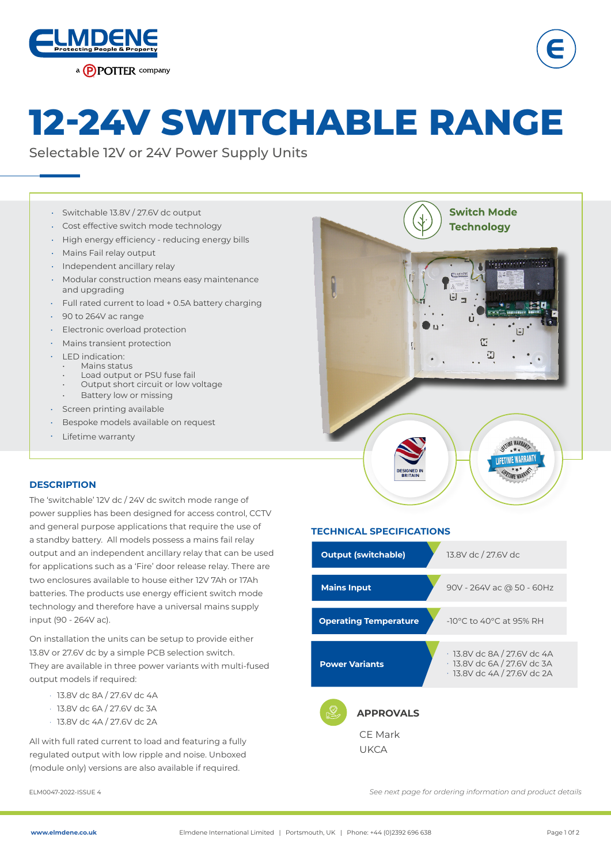



# **12-24V SWITCHABLE RANGE**

Selectable 12V or 24V Power Supply Units

- Switchable 13.8V / 27.6V dc output •
- Cost effective switch mode technology •
- $\,\cdot\,\,$  High energy efficiency reducing energy bills
- Mains Fail relay output
- Independent ancillary relay
- Modular construction means easy maintenance and upgrading •
- Full rated current to load + 0.5A battery charging
- 90 to 264V ac range •
- Electronic overload protection •
- Mains transient protection •
- LED indication: •
	- Mains status
	- Load output or PSU fuse fail • Output short circuit or low voltage
	- Battery low or missing
- Screen printing available •
- Bespoke models available on request •
- Lifetime warranty •



**Switch Mode Technology** 

### **DESCRIPTION**

The 'switchable' 12V dc / 24V dc switch mode range of power supplies has been designed for access control, CCTV and general purpose applications that require the use of a standby battery. All models possess a mains fail relay output and an independent ancillary relay that can be used for applications such as a 'Fire' door release relay. There are two enclosures available to house either 12V 7Ah or 17Ah batteries. The products use energy efficient switch mode technology and therefore have a universal mains supply input (90 - 264V ac).

On installation the units can be setup to provide either 13.8V or 27.6V dc by a simple PCB selection switch. They are available in three power variants with multi-fused output models if required:

- · 13.8V dc 8A / 27.6V dc 4A
- · 13.8V dc 6A / 27.6V dc 3A
- · 13.8V dc 4A / 27.6V dc 2A

All with full rated current to load and featuring a fully regulated output with low ripple and noise. Unboxed (module only) versions are also available if required.

### **TECHNICAL SPECIFICATIONS**



ELM0047-2022-ISSUE 4 *See next page for ordering information and product details*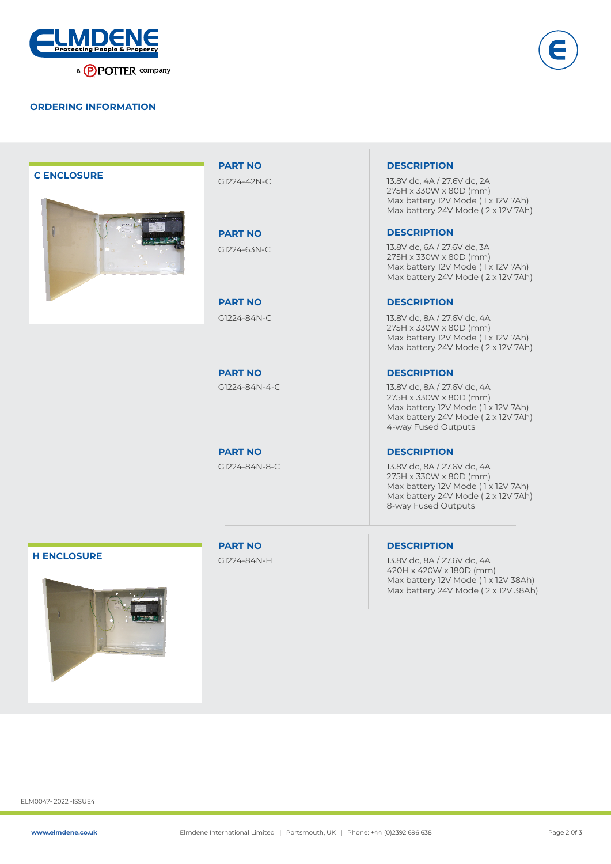



### **C ENCLOSURE**



**PART NO** G1224-42N-C

**PART NO**

**PART NO**

**PART NO**

### **DESCRIPTION**

13.8V dc, 4A / 27.6V dc, 2A 275H x 330W x 80D (mm) Max battery 12V Mode ( 1 x 12V 7Ah) Max battery 24V Mode ( 2 x 12V 7Ah)

### **DESCRIPTION**

G1224-63N-C 13.8V dc, 6A / 27.6V dc, 3A 275H x 330W x 80D (mm) Max battery 12V Mode ( 1 x 12V 7Ah) Max battery 24V Mode ( 2 x 12V 7Ah)

### **DESCRIPTION**

G1224-84N-C 13.8V dc, 8A / 27.6V dc, 4A 275H x 330W x 80D (mm) Max battery 12V Mode (1 x 12V 7Ah) Max battery 24V Mode ( 2 x 12V 7Ah)

### **PART NO DESCRIPTION**

G1224-84N-4-C 13.8V dc, 8A / 27.6V dc, 4A 275H x 330W x 80D (mm) Max battery 12V Mode ( 1 x 12V 7Ah) Max battery 24V Mode ( 2 x 12V 7Ah) 4-way Fused Outputs

### **DESCRIPTION**

G1224-84N-8-C 13.8V dc, 8A / 27.6V dc, 4A 275H x 330W x 80D (mm) Max battery 12V Mode ( 1 x 12V 7Ah) Max battery 24V Mode ( 2 x 12V 7Ah) 8-way Fused Outputs

### **H ENCLOSURE**



**PART NO** G1224-84N-H **DESCRIPTION**

13.8V dc, 8A / 27.6V dc, 4A 420H x 420W x 180D (mm) Max battery 12V Mode (1x 12V 38Ah) Max battery 24V Mode ( 2 x 12V 38Ah)

ELM0047- 2022 -ISSUE4